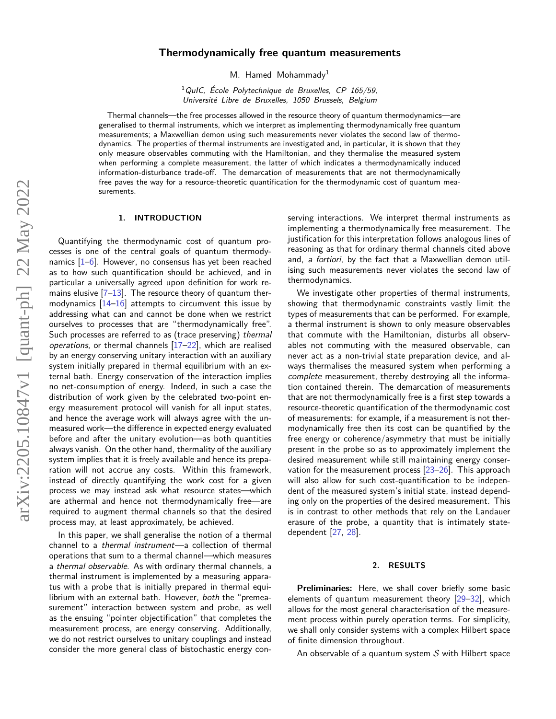# **Thermodynamically free quantum measurements**

M. Hamed Mohammady<sup>1</sup>

 $1$ QuIC, École Polytechnique de Bruxelles, CP 165/59, Université Libre de Bruxelles, 1050 Brussels, Belgium

Thermal channels—the free processes allowed in the resource theory of quantum thermodynamics—are generalised to thermal instruments, which we interpret as implementing thermodynamically free quantum measurements; a Maxwellian demon using such measurements never violates the second law of thermodynamics. The properties of thermal instruments are investigated and, in particular, it is shown that they only measure observables commuting with the Hamiltonian, and they thermalise the measured system when performing a complete measurement, the latter of which indicates a thermodynamically induced information-disturbance trade-off. The demarcation of measurements that are not thermodynamically free paves the way for a resource-theoretic quantification for the thermodynamic cost of quantum measurements.

### **1. INTRODUCTION**

Quantifying the thermodynamic cost of quantum processes is one of the central goals of quantum thermodynamics [\[1–](#page-7-0)[6\]](#page-7-1). However, no consensus has yet been reached as to how such quantification should be achieved, and in particular a universally agreed upon definition for work remains elusive  $[7-13]$  $[7-13]$ . The resource theory of quantum thermodynamics  $[14-16]$  $[14-16]$  attempts to circumvent this issue by addressing what can and cannot be done when we restrict ourselves to processes that are "thermodynamically free". Such processes are referred to as (trace preserving) thermal operations, or thermal channels  $[17-22]$  $[17-22]$ , which are realised by an energy conserving unitary interaction with an auxiliary system initially prepared in thermal equilibrium with an external bath. Energy conservation of the interaction implies no net-consumption of energy. Indeed, in such a case the distribution of work given by the celebrated two-point energy measurement protocol will vanish for all input states, and hence the average work will always agree with the unmeasured work—the difference in expected energy evaluated before and after the unitary evolution—as both quantities always vanish. On the other hand, thermality of the auxiliary system implies that it is freely available and hence its preparation will not accrue any costs. Within this framework, instead of directly quantifying the work cost for a given process we may instead ask what resource states—which are athermal and hence not thermodynamically free—are required to augment thermal channels so that the desired process may, at least approximately, be achieved.

In this paper, we shall generalise the notion of a thermal channel to a thermal instrument—a collection of thermal operations that sum to a thermal channel—which measures a thermal observable. As with ordinary thermal channels, a thermal instrument is implemented by a measuring apparatus with a probe that is initially prepared in thermal equilibrium with an external bath. However, both the "premeasurement" interaction between system and probe, as well as the ensuing "pointer objectification" that completes the measurement process, are energy conserving. Additionally, we do not restrict ourselves to unitary couplings and instead consider the more general class of bistochastic energy con-

serving interactions. We interpret thermal instruments as implementing a thermodynamically free measurement. The justification for this interpretation follows analogous lines of reasoning as that for ordinary thermal channels cited above and, a fortiori, by the fact that a Maxwellian demon utilising such measurements never violates the second law of thermodynamics.

We investigate other properties of thermal instruments, showing that thermodynamic constraints vastly limit the types of measurements that can be performed. For example, a thermal instrument is shown to only measure observables that commute with the Hamiltonian, disturbs all observables not commuting with the measured observable, can never act as a non-trivial state preparation device, and always thermalises the measured system when performing a complete measurement, thereby destroying all the information contained therein. The demarcation of measurements that are not thermodynamically free is a first step towards a resource-theoretic quantification of the thermodynamic cost of measurements: for example, if a measurement is not thermodynamically free then its cost can be quantified by the free energy or coherence/asymmetry that must be initially present in the probe so as to approximately implement the desired measurement while still maintaining energy conservation for the measurement process [\[23–](#page-7-8)[26\]](#page-7-9). This approach will also allow for such cost-quantification to be independent of the measured system's initial state, instead depending only on the properties of the desired measurement. This is in contrast to other methods that rely on the Landauer erasure of the probe, a quantity that is intimately statedependent [\[27,](#page-7-10) [28\]](#page-7-11).

## **2. RESULTS**

**Preliminaries:** Here, we shall cover briefly some basic elements of quantum measurement theory [\[29–](#page-7-12)[32\]](#page-7-13), which allows for the most general characterisation of the measurement process within purely operation terms. For simplicity, we shall only consider systems with a complex Hilbert space of finite dimension throughout.

An observable of a quantum system  $S$  with Hilbert space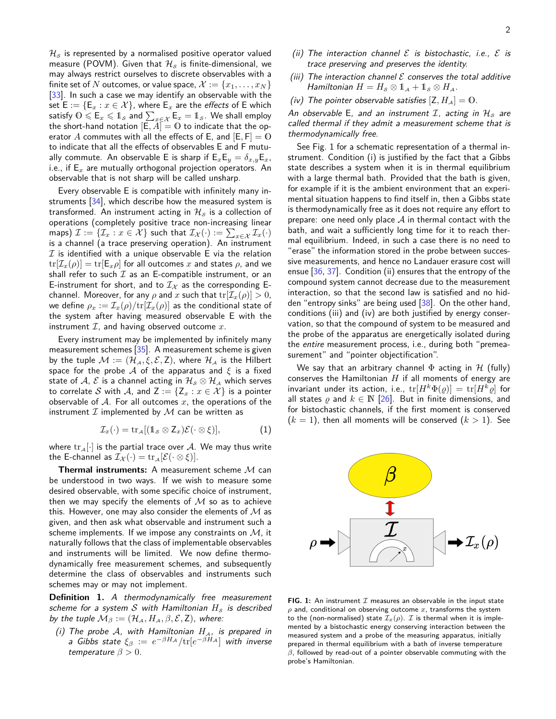2

 $\mathcal{H}_{\mathcal{S}}$  is represented by a normalised positive operator valued measure (POVM). Given that  $\mathcal{H}_s$  is finite-dimensional, we may always restrict ourselves to discrete observables with a finite set of *N* outcomes, or value space,  $\mathcal{X} := \{x_1, \ldots, x_N\}$ [\[33\]](#page-7-14). In such a case we may identify an observable with the set  $E := \{E_x : x \in \mathcal{X}\}\)$ , where  $E_x$  are the *effects* of E which satisfy  $0\leqslant \mathsf{E}_x\leqslant 1_{\mathcal{S}}$  and  $\sum_{x\in\mathcal{X}}\mathsf{E}_x=1_{\mathcal{S}}.$  We shall employ the short-hand notation  $[E, A] = 0$  to indicate that the operator A commutes with all the effects of E, and  $[E, F] = 0$ to indicate that all the effects of observables E and F mutually commute. An observable E is sharp if  $E_xE_y = \delta_{x,y}E_x$ , i.e., if E*<sup>x</sup>* are mutually orthogonal projection operators. An observable that is not sharp will be called unsharp.

Every observable E is compatible with infinitely many instruments [\[34\]](#page-7-15), which describe how the measured system is transformed. An instrument acting in  $\mathcal{H}_{\mathcal{S}}$  is a collection of operations (completely positive trace non-increasing linear maps)  $\mathcal{I} := \{\mathcal{I}_x: x \in \mathcal{X}\}$  such that  $\mathcal{I}_{\mathcal{X}}(\cdot) := \sum_{x \in \mathcal{X}} \mathcal{I}_x(\cdot)$ is a channel (a trace preserving operation). An instrument  $I$  is identified with a unique observable E via the relation  $tr[\mathcal{I}_x(\rho)] = tr[E_x \rho]$  for all outcomes *x* and states  $\rho$ , and we shall refer to such  $I$  as an E-compatible instrument, or an E-instrument for short, and to  $I_X$  as the corresponding Echannel. Moreover, for any  $\rho$  and  $x$  such that  $\text{tr}[\mathcal{I}_x(\rho)] > 0$ , we define  $\rho_x := \mathcal{I}_x(\rho)/\text{tr}[\mathcal{I}_x(\rho)]$  as the conditional state of the system after having measured observable E with the instrument  $I$ , and having observed outcome  $x$ .

Every instrument may be implemented by infinitely many measurement schemes [\[35\]](#page-7-16). A measurement scheme is given by the tuple  $\mathcal{M} := (\mathcal{H}_{\mathcal{A}}, \xi, \mathcal{E}, Z)$ , where  $\mathcal{H}_{\mathcal{A}}$  is the Hilbert space for the probe A of the apparatus and  $\xi$  is a fixed state of A,  $\mathcal E$  is a channel acting in  $\mathcal H_{\mathcal S}\otimes\mathcal H_{\mathcal A}$  which serves to correlate S with A, and  $Z := \{Z_x : x \in \mathcal{X}\}\)$  is a pointer observable of A. For all outcomes *x*, the operations of the instrument  $I$  implemented by  $M$  can be written as

$$
\mathcal{I}_x(\cdot) = \operatorname{tr}_{\mathcal{A}}[(1_{\mathcal{S}} \otimes Z_x)\mathcal{E}(\cdot \otimes \xi)],\tag{1}
$$

where  $\text{tr}_{\mathcal{A}}[\cdot]$  is the partial trace over A. We may thus write the E-channel as  $\mathcal{I}_{\mathcal{X}}(\cdot) = \text{tr}_{\mathcal{A}}[\mathcal{E}(\cdot \otimes \xi)].$ 

**Thermal instruments:** A measurement scheme M can be understood in two ways. If we wish to measure some desired observable, with some specific choice of instrument, then we may specify the elements of  $M$  so as to achieve this. However, one may also consider the elements of  $M$  as given, and then ask what observable and instrument such a scheme implements. If we impose any constraints on  $M$ , it naturally follows that the class of implementable observables and instruments will be limited. We now define thermodynamically free measurement schemes, and subsequently determine the class of observables and instruments such schemes may or may not implement.

<span id="page-1-2"></span>**Definition 1.** A thermodynamically free measurement scheme for a system S with Hamiltonian  $H<sub>s</sub>$  is described by the tuple  $\mathcal{M}_{\beta} := (\mathcal{H}_{\mathcal{A}}, H_{\mathcal{A}}, \beta, \mathcal{E}, \mathsf{Z})$ , where:

(i) The probe A, with Hamiltonian  $H_A$ , is prepared in  $\mathsf{a}$  Gibbs state  $\xi_{\beta}$   $:=$   $e^{-\beta H_{\mathcal{A}}}/\mathrm{tr}[e^{-\beta H_{\mathcal{A}}}]$  with inverse temperature  $\beta > 0$ .

- (ii) The interaction channel  $\mathcal E$  is bistochastic, i.e.,  $\mathcal E$  is trace preserving and preserves the identity.
- (iii) The interaction channel  $\mathcal E$  conserves the total additive *Hamiltonian*  $H = H_{\mathcal{S}} \otimes \mathbb{1}_{\mathcal{A}} + \mathbb{1}_{\mathcal{S}} \otimes H_{\mathcal{A}}$ .
- (iv) The pointer observable satisfies  $[Z, H_A] = 0$ .

An observable E, and an instrument  $\mathcal{I}$ , acting in  $\mathcal{H}_{\mathcal{S}}$  are called thermal if they admit a measurement scheme that is thermodynamically free.

See Fig. [1](#page-1-0) for a schematic representation of a thermal instrument. Condition (i) is justified by the fact that a Gibbs state describes a system when it is in thermal equilibrium with a large thermal bath. Provided that the bath is given, for example if it is the ambient environment that an experimental situation happens to find itself in, then a Gibbs state is thermodynamically free as it does not require any effort to prepare: one need only place  $A$  in thermal contact with the bath, and wait a sufficiently long time for it to reach thermal equilibrium. Indeed, in such a case there is no need to "erase" the information stored in the probe between successive measurements, and hence no Landauer erasure cost will ensue [\[36,](#page-7-17) [37\]](#page-7-18). Condition (ii) ensures that the entropy of the compound system cannot decrease due to the measurement interaction, so that the second law is satisfied and no hidden "entropy sinks" are being used [\[38\]](#page-7-19). On the other hand, conditions (iii) and (iv) are both justified by energy conservation, so that the compound of system to be measured and the probe of the apparatus are energetically isolated during the entire measurement process, i.e., during both "premeasurement" and "pointer objectification".

We say that an arbitrary channel  $\Phi$  acting in  $\mathcal H$  (fully) conserves the Hamiltonian *H* if all moments of energy are invariant under its action, i.e.,  $\text{tr}[H^k\Phi(\varrho)] = \text{tr}[H^k\varrho]$  for all states  $\rho$  and  $k \in \mathbb{N}$  [\[26\]](#page-7-9). But in finite dimensions, and for bistochastic channels, if the first moment is conserved  $(k = 1)$ , then all moments will be conserved  $(k > 1)$ . See

<span id="page-1-1"></span><span id="page-1-0"></span>

**FIG.** 1: An instrument  $I$  measures an observable in the input state  $\rho$  and, conditional on observing outcome  $x$ , transforms the system to the (non-normalised) state  $\mathcal{I}_x(\rho)$ . *I* is thermal when it is implemented by a bistochastic energy conserving interaction between the measured system and a probe of the measuring apparatus, initially prepared in thermal equilibrium with a bath of inverse temperature *β*, followed by read-out of a pointer observable commuting with the probe's Hamiltonian.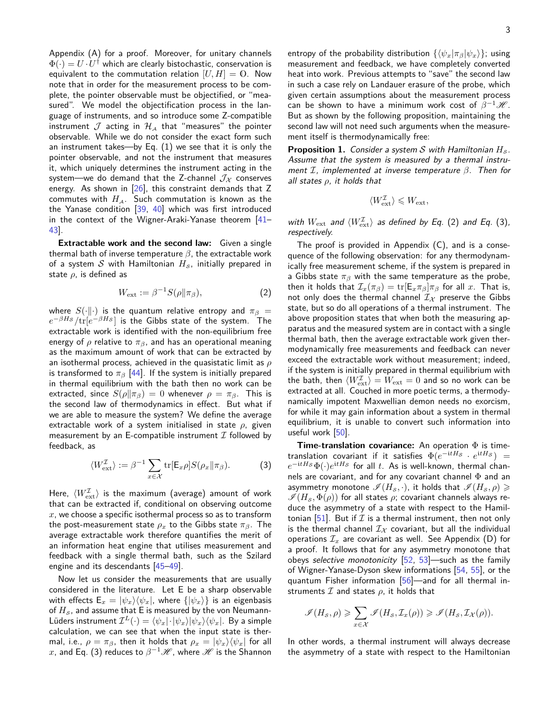Appendix [\(A\)](#page-4-0) for a proof. Moreover, for unitary channels  $\Phi(\cdot)=U\cdot U^\dagger$  which are clearly bistochastic, conservation is equivalent to the commutation relation  $[U, H] = 0$ . Now note that in order for the measurement process to be complete, the pointer observable must be objectified, or "measured". We model the objectification process in the language of instruments, and so introduce some Z-compatible instrument  $\mathcal J$  acting in  $\mathcal H_A$  that "measures" the pointer observable. While we do not consider the exact form such an instrument takes—by Eq. [\(1\)](#page-1-1) we see that it is only the pointer observable, and not the instrument that measures it, which uniquely determines the instrument acting in the system—we do demand that the Z-channel  $\mathcal{J}_{\mathcal{X}}$  conserves energy. As shown in  $[26]$ , this constraint demands that Z commutes with  $H_A$ . Such commutation is known as the the Yanase condition [\[39,](#page-7-20) [40\]](#page-7-21) which was first introduced in the context of the Wigner-Araki-Yanase theorem [\[41–](#page-7-22) [43\]](#page-7-23).

**Extractable work and the second law:** Given a single thermal bath of inverse temperature *β*, the extractable work of a system  $S$  with Hamiltonian  $H_S$ , initially prepared in state *ρ*, is defined as

$$
W_{\text{ext}} := \beta^{-1} S(\rho \| \pi_{\beta}), \tag{2}
$$

where  $S(\cdot|\cdot)$  is the quantum relative entropy and  $\pi_{\beta}$  =  $e^{-\beta H_\mathcal{S}}/\text{tr}[e^{-\beta H_\mathcal{S}}]$  is the Gibbs state of the system. The extractable work is identified with the non-equilibrium free energy of  $\rho$  relative to  $\pi_{\beta}$ , and has an operational meaning as the maximum amount of work that can be extracted by an isothermal process, achieved in the quasistatic limit as *ρ* is transformed to  $\pi_{\beta}$  [\[44\]](#page-7-24). If the system is initially prepared in thermal equilibrium with the bath then no work can be extracted, since  $S(\rho||\pi_\beta) = 0$  whenever  $\rho = \pi_\beta$ . This is the second law of thermodynamics in effect. But what if we are able to measure the system? We define the average extractable work of a system initialised in state *ρ*, given measurement by an E-compatible instrument  $\mathcal I$  followed by feedback, as

$$
\langle W_{\text{ext}}^{\mathcal{I}} \rangle := \beta^{-1} \sum_{x \in \mathcal{X}} \text{tr}[\mathsf{E}_x \rho] S(\rho_x \| \pi_\beta). \tag{3}
$$

Here,  $\langle W_{\rm ext}^{\cal I} \rangle$  is the maximum (average) amount of work that can be extracted if, conditional on observing outcome *x*, we choose a specific isothermal process so as to transform the post-measurement state  $\rho_x$  to the Gibbs state  $\pi_\beta$ . The average extractable work therefore quantifies the merit of an information heat engine that utilises measurement and feedback with a single thermal bath, such as the Szilard engine and its descendants [\[45](#page-7-25)[–49\]](#page-7-26).

Now let us consider the measurements that are usually considered in the literature. Let E be a sharp observable with effects  $E_x = |\psi_x\rangle\langle\psi_x|$ , where  $\{|\psi_x\rangle\}$  is an eigenbasis of  $H_s$ , and assume that E is measured by the von Neumann- $\mathsf{Lüders\ instrument\ }\mathcal{I}^L(\cdot) = \langle \psi_x|\cdot|\psi_x\rangle|\psi_x\rangle\langle\psi_x|.$  By a simple calculation, we can see that when the input state is thermal, i.e.,  $\rho = \pi_{\beta}$ , then it holds that  $\rho_x = |\psi_x\rangle \langle \psi_x|$  for all  $x$ , and Eq. [\(3\)](#page-2-0) reduces to  $\beta^{-1}\mathscr{H}$  , where  $\mathscr{H}$  is the Shannon entropy of the probability distribution  $\{\langle \psi_x | \pi_\beta | \psi_x \rangle\}$ ; using measurement and feedback, we have completely converted heat into work. Previous attempts to "save" the second law in such a case rely on Landauer erasure of the probe, which given certain assumptions about the measurement process can be shown to have a minimum work cost of  $\beta^{-1}$ *H*. But as shown by the following proposition, maintaining the second law will not need such arguments when the measurement itself is thermodynamically free:

<span id="page-2-2"></span>**Proposition 1.** Consider a system S with Hamiltonian  $H_s$ . Assume that the system is measured by a thermal instrument I, implemented at inverse temperature *β*. Then for all states *ρ*, it holds that

$$
\langle W_\text{ext}^{\mathcal{I}} \rangle \leqslant W_\text{ext},
$$

with  $W_{\mathrm{ext}}$  and  $\langle W_{\mathrm{ext}}^{\mathcal{I}}\rangle$  as defined by Eq. [\(2\)](#page-2-1) and Eq. [\(3\)](#page-2-0), respectively.

<span id="page-2-1"></span>The proof is provided in Appendix  $(C)$ , and is a consequence of the following observation: for any thermodynamically free measurement scheme, if the system is prepared in a Gibbs state *π<sup>β</sup>* with the same temperature as the probe, then it holds that  $\mathcal{I}_x(\pi_\beta) = \text{tr}[\mathsf{E}_x \pi_\beta | \pi_\beta]$  for all *x*. That is, not only does the thermal channel  $\mathcal{I}_{\mathcal{X}}$  preserve the Gibbs state, but so do all operations of a thermal instrument. The above proposition states that when both the measuring apparatus and the measured system are in contact with a single thermal bath, then the average extractable work given thermodynamically free measurements and feedback can never exceed the extractable work without measurement; indeed, if the system is initially prepared in thermal equilibrium with the bath, then  $\langle W_{\text{ext}}^{\mathcal{I}} \rangle = W_{\text{ext}} = 0$  and so no work can be extracted at all. Couched in more poetic terms, a thermodynamically impotent Maxwellian demon needs no exorcism, for while it may gain information about a system in thermal equilibrium, it is unable to convert such information into useful work [\[50\]](#page-7-27).

<span id="page-2-0"></span>**Time-translation covariance:** An operation Φ is time- ${\rm tr}$ anslation covariant if it satisfies  $\Phi(e^{-{\rm i} tH_{\cal S}} \, \cdot \, e^{{\rm i} tH_{\cal S}})$  =  $e^{-\mathrm{i} tH_\mathcal{S}}\Phi(\cdot)e^{\mathrm{i} tH_\mathcal{S}}$  for all  $t.$  As is well-known, thermal channels are covariant, and for any covariant channel  $\Phi$  and an asymmetry monotone  $\mathscr{I}(H_{\mathcal{S}},\cdot)$ , it holds that  $\mathscr{I}(H_{\mathcal{S}},\rho)\geqslant$  $\mathscr{I}(H_s, \Phi(\rho))$  for all states  $\rho$ ; covariant channels always reduce the asymmetry of a state with respect to the Hamil-tonian [\[51\]](#page-7-28). But if  $\mathcal I$  is a thermal instrument, then not only is the thermal channel  $I_X$  covariant, but all the individual operations  $\mathcal{I}_x$  are covariant as well. See Appendix [\(D\)](#page-6-0) for a proof. It follows that for any asymmetry monotone that obeys selective monotonicity [\[52,](#page-7-29) [53\]](#page-7-30)—such as the family of Wigner-Yanase-Dyson skew informations [\[54,](#page-7-31) [55\]](#page-7-32), or the quantum Fisher information [\[56\]](#page-7-33)—and for all thermal instruments  $I$  and states  $\rho$ , it holds that

$$
\mathscr{I}(H_{\mathcal{S}}, \rho) \geqslant \sum_{x \in \mathcal{X}} \mathscr{I}(H_{\mathcal{S}}, \mathcal{I}_{x}(\rho)) \geqslant \mathscr{I}(H_{\mathcal{S}}, \mathcal{I}_{\mathcal{X}}(\rho)).
$$

In other words, a thermal instrument will always decrease the asymmetry of a state with respect to the Hamiltonian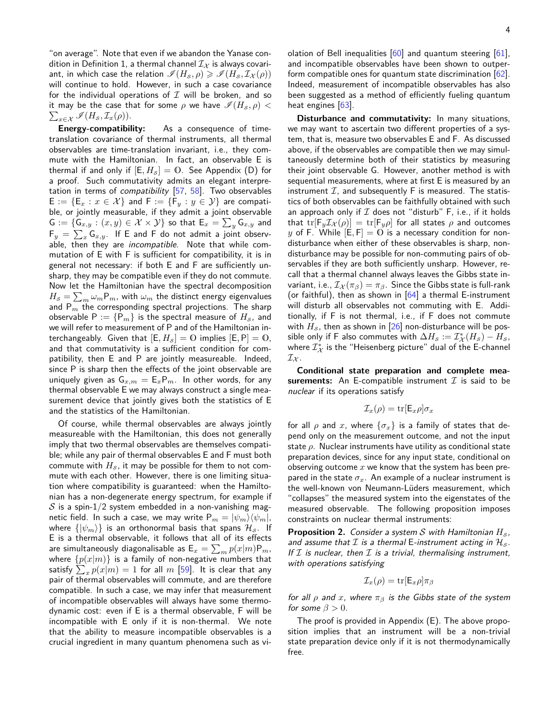"on average". Note that even if we abandon the Yanase con-dition in Definition [1,](#page-1-2) a thermal channel  $\mathcal{I}_{\chi}$  is always covariant, in which case the relation  $\mathscr{I}(H_{\mathcal{S}}, \rho) \geq \mathscr{I}(H_{\mathcal{S}}, \mathcal{I}_{\mathcal{X}}(\rho))$ will continue to hold. However, in such a case covariance for the individual operations of  $I$  will be broken, and so  $\sum_{x \in \mathcal{X}} \mathcal{I}(H_{\mathcal{S}}, \mathcal{I}_{x}(\rho)).$ it may be the case that for some  $\rho$  we have  $\mathscr{I}(H_{\mathcal{S}}, \rho)$  <

**Energy-compatibility:** As a consequence of timetranslation covariance of thermal instruments, all thermal observables are time-translation invariant, i.e., they commute with the Hamiltonian. In fact, an observable E is thermal if and only if  $[E, H_s] = 0$ . See Appendix [\(D\)](#page-6-0) for a proof. Such commutativity admits an elegant interpretation in terms of *compatibility*  $[57, 58]$  $[57, 58]$  $[57, 58]$ . Two observables  $E := \{E_x : x \in \mathcal{X}\}\$ and  $F := \{F_y : y \in \mathcal{Y}\}\$ are compatible, or jointly measurable, if they admit a joint observable  $\mathsf{G} := \{\mathsf{G}_{x,y} : (x,y) \in \mathcal{X} \times \mathcal{Y}\}$  so that  $\mathsf{E}_x = \sum_y \mathsf{G}_{x,y}$  and  $\mathsf{F}_y \,=\, \sum_x \mathsf{G}_{x,y}.$  If E and F do not admit a joint observable, then they are *incompatible*. Note that while commutation of E with F is sufficient for compatibility, it is in general not necessary: if both E and F are sufficiently unsharp, they may be compatible even if they do not commute. Now let the Hamiltonian have the spectral decomposition  $H_{\mathcal{S}} = \sum_{m} \omega_m \mathsf{P}_m$ , with  $\omega_m$  the distinct energy eigenvalues and P*<sup>m</sup>* the corresponding spectral projections. The sharp observable  $P := {P_m}$  is the spectral measure of  $H_s$ , and we will refer to measurement of P and of the Hamiltonian interchangeably. Given that  $[E, H_s] = 0$  implies  $[E, P] = 0$ , and that commutativity is a sufficient condition for compatibility, then E and P are jointly measureable. Indeed, since P is sharp then the effects of the joint observable are uniquely given as  $G_{x,m} = E_x P_m$ . In other words, for any thermal observable E we may always construct a single measurement device that jointly gives both the statistics of E and the statistics of the Hamiltonian.

Of course, while thermal observables are always jointly measureable with the Hamiltonian, this does not generally imply that two thermal observables are themselves compatible; while any pair of thermal observables E and F must both commute with  $H_s$ , it may be possible for them to not commute with each other. However, there is one limiting situation where compatibility is guaranteed: when the Hamiltonian has a non-degenerate energy spectrum, for example if  $S$  is a spin-1/2 system embedded in a non-vanishing magnetic field. In such a case, we may write  $P_m = |\psi_m\rangle \langle \psi_m|$ , where  $\{|\psi_m\rangle\}$  is an orthonormal basis that spans  $\mathcal{H}_{\mathcal{S}}$ . If E is a thermal observable, it follows that all of its effects are simultaneously diagonalisable as  $\mathsf{E}_{x} = \sum_{m} p(x|m) \mathsf{P}_{m}$ , where  $\{p(x|m)\}\$ is a family of non-negative numbers that satisfy  $\sum_x p(x|m) = 1$  for all  $m$  [\[59\]](#page-7-36). It is clear that any pair of thermal observables will commute, and are therefore compatible. In such a case, we may infer that measurement of incompatible observables will always have some thermodynamic cost: even if E is a thermal observable, F will be incompatible with E only if it is non-thermal. We note that the ability to measure incompatible observables is a crucial ingredient in many quantum phenomena such as violation of Bell inequalities [\[60\]](#page-7-37) and quantum steering [\[61\]](#page-7-38), and incompatible observables have been shown to outperform compatible ones for quantum state discrimination [\[62\]](#page-7-39). Indeed, measurement of incompatible observables has also been suggested as a method of efficiently fueling quantum heat engines [\[63\]](#page-8-0).

**Disturbance and commutativity:** In many situations, we may want to ascertain two different properties of a system, that is, measure two observables E and F. As discussed above, if the observables are compatible then we may simultaneously determine both of their statistics by measuring their joint observable G. However, another method is with sequential measurements, where at first E is measured by an instrument  $I$ , and subsequently F is measured. The statistics of both observables can be faithfully obtained with such an approach only if  $I$  does not "disturb" F, i.e., if it holds that  $tr[F_y \mathcal{I}_{\mathcal{X}}(\rho)] = tr[F_y \rho]$  for all states  $\rho$  and outcomes  $y$  of F. While  $[E, F] = 0$  is a necessary condition for nondisturbance when either of these observables is sharp, nondisturbance may be possible for non-commuting pairs of observables if they are both sufficiently unsharp. However, recall that a thermal channel always leaves the Gibbs state invariant, i.e.,  $\mathcal{I}_{\mathcal{X}}(\pi_{\beta}) = \pi_{\beta}$ . Since the Gibbs state is full-rank (or faithful), then as shown in  $[64]$  a thermal E-instrument will disturb all observables not commuting with E. Additionally, if F is not thermal, i.e., if F does not commute with  $H_s$ , then as shown in [\[26\]](#page-7-9) non-disturbance will be possible only if F also commutes with  $\Delta H_{\mathcal{S}} := \mathcal{I}^*_{\mathcal{X}}(H_{\mathcal{S}}) - H_{\mathcal{S}}$ , where  $\mathcal{I}^*_{\mathcal{X}}$  is the "Heisenberg picture" dual of the E-channel  $\mathcal{I}_{\mathcal{X}}$ .

**Conditional state preparation and complete measurements:** An E-compatible instrument  $\mathcal{I}$  is said to be nuclear if its operations satisfy

$$
\mathcal{I}_x(\rho) = \text{tr}[\mathsf{E}_x \rho] \sigma_x
$$

for all  $\rho$  and  $x$ , where  $\{\sigma_x\}$  is a family of states that depend only on the measurement outcome, and not the input state *ρ*. Nuclear instruments have utility as conditional state preparation devices, since for any input state, conditional on observing outcome *x* we know that the system has been prepared in the state  $\sigma_x$ . An example of a nuclear instrument is the well-known von Neumann-Lüders measurement, which "collapses" the measured system into the eigenstates of the measured observable. The following proposition imposes constraints on nuclear thermal instruments:

<span id="page-3-0"></span>**Proposition 2.** Consider a system S with Hamiltonian  $H_s$ , and assume that  $\mathcal I$  is a thermal E-instrument acting in  $\mathcal H_s$ . If  $I$  is nuclear, then  $I$  is a trivial, thermalising instrument, with operations satisfying

$$
\mathcal{I}_x(\rho) = \text{tr}[\mathsf{E}_x \rho] \pi_\beta
$$

for all  $\rho$  and  $x$ , where  $\pi_{\beta}$  is the Gibbs state of the system for some  $\beta > 0$ .

The proof is provided in Appendix [\(E\)](#page-6-1). The above proposition implies that an instrument will be a non-trivial state preparation device only if it is not thermodynamically free.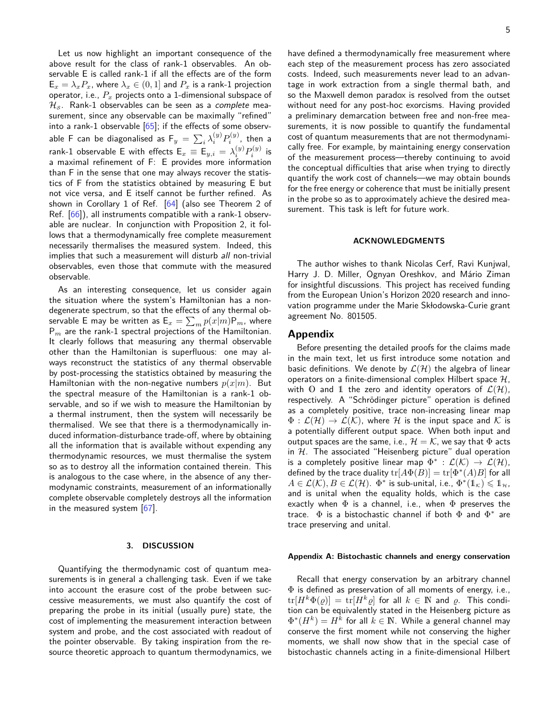Let us now highlight an important consequence of the above result for the class of rank-1 observables. An observable E is called rank-1 if all the effects are of the form  $E_x = \lambda_x P_x$ , where  $\lambda_x \in (0, 1]$  and  $P_x$  is a rank-1 projection operator, i.e., *P<sup>x</sup>* projects onto a 1-dimensional subspace of  $\mathcal{H}_{\mathcal{S}}$ . Rank-1 observables can be seen as a complete measurement, since any observable can be maximally "refined" into a rank-1 observable  $[65]$ ; if the effects of some observable F can be diagonalised as  $\mathsf{F}_y \,=\, \sum_i \lambda_i^{(y)} P_i^{(y)},$  then a rank-1 observable E with effects  $\mathsf{E}_x \equiv \mathsf{E}_{y,i} = \lambda^{(y)}_i P^{(y)}_i$  is a maximal refinement of F: E provides more information than F in the sense that one may always recover the statistics of F from the statistics obtained by measuring E but not vice versa, and E itself cannot be further refined. As shown in Corollary 1 of Ref. [\[64\]](#page-8-1) (also see Theorem 2 of Ref. [\[66\]](#page-8-3)), all instruments compatible with a rank-1 observable are nuclear. In conjunction with Proposition [2,](#page-3-0) it follows that a thermodynamically free complete measurement necessarily thermalises the measured system. Indeed, this implies that such a measurement will disturb all non-trivial observables, even those that commute with the measured observable.

As an interesting consequence, let us consider again the situation where the system's Hamiltonian has a nondegenerate spectrum, so that the effects of any thermal observable E may be written as  $\mathsf{E}_{x} = \sum_{m} p(x|m) \mathsf{P}_{m}$ , where P*<sup>m</sup>* are the rank-1 spectral projections of the Hamiltonian. It clearly follows that measuring any thermal observable other than the Hamiltonian is superfluous: one may always reconstruct the statistics of any thermal observable by post-processing the statistics obtained by measuring the Hamiltonian with the non-negative numbers  $p(x|m)$ . But the spectral measure of the Hamiltonian is a rank-1 observable, and so if we wish to measure the Hamiltonian by a thermal instrument, then the system will necessarily be thermalised. We see that there is a thermodynamically induced information-disturbance trade-off, where by obtaining all the information that is available without expending any thermodynamic resources, we must thermalise the system so as to destroy all the information contained therein. This is analogous to the case where, in the absence of any thermodynamic constraints, measurement of an informationally complete observable completely destroys all the information in the measured system [\[67\]](#page-8-4).

#### **3. DISCUSSION**

Quantifying the thermodynamic cost of quantum measurements is in general a challenging task. Even if we take into account the erasure cost of the probe between successive measurements, we must also quantify the cost of preparing the probe in its initial (usually pure) state, the cost of implementing the measurement interaction between system and probe, and the cost associated with readout of the pointer observable. By taking inspiration from the resource theoretic approach to quantum thermodynamics, we have defined a thermodynamically free measurement where each step of the measurement process has zero associated costs. Indeed, such measurements never lead to an advantage in work extraction from a single thermal bath, and so the Maxwell demon paradox is resolved from the outset without need for any post-hoc exorcisms. Having provided a preliminary demarcation between free and non-free measurements, it is now possible to quantify the fundamental cost of quantum measurements that are not thermodynamically free. For example, by maintaining energy conservation of the measurement process—thereby continuing to avoid the conceptual difficulties that arise when trying to directly quantify the work cost of channels—we may obtain bounds for the free energy or coherence that must be initially present in the probe so as to approximately achieve the desired measurement. This task is left for future work.

## **ACKNOWLEDGMENTS**

The author wishes to thank Nicolas Cerf, Ravi Kunjwal, Harry J. D. Miller, Ognyan Oreshkov, and Mário Ziman for insightful discussions. This project has received funding from the European Union's Horizon 2020 research and innovation programme under the Marie Skłodowska-Curie grant agreement No. 801505.

# **Appendix**

Before presenting the detailed proofs for the claims made in the main text, let us first introduce some notation and basic definitions. We denote by  $\mathcal{L}(\mathcal{H})$  the algebra of linear operators on a finite-dimensional complex Hilbert space  $H$ , with O and 1 the zero and identity operators of  $\mathcal{L}(\mathcal{H})$ , respectively. A "Schrödinger picture" operation is defined as a completely positive, trace non-increasing linear map  $\Phi: \mathcal{L}(\mathcal{H}) \to \mathcal{L}(\mathcal{K})$ , where H is the input space and K is a potentially different output space. When both input and output spaces are the same, i.e.,  $\mathcal{H} = \mathcal{K}$ , we say that  $\Phi$  acts in  $H$ . The associated "Heisenberg picture" dual operation is a completely positive linear map  $\Phi^*$  :  $\mathcal{L}(\mathcal{K}) \to \mathcal{L}(\mathcal{H})$ ,  $\operatorname{\mathsf{defined}}$  by the trace duality  $\operatorname{tr}[A\Phi(B)] = \operatorname{tr}[\Phi^*(A)B]$  for all  $A\in\mathcal{L}(\mathcal{K}), B\in\mathcal{L}(\mathcal{H})$ .  $\Phi^*$  is sub-unital, i.e.,  $\Phi^*(1\!\!1_\mathcal{K})\leqslant 1\!\!1_\mathcal{H}$ , and is unital when the equality holds, which is the case exactly when  $\Phi$  is a channel, i.e., when  $\Phi$  preserves the trace.  $\Phi$  is a bistochastic channel if both  $\Phi$  and  $\Phi^*$  are trace preserving and unital.

#### <span id="page-4-0"></span>**Appendix A: Bistochastic channels and energy conservation**

Recall that energy conservation by an arbitrary channel  $\Phi$  is defined as preservation of all moments of energy, i.e.,  $tr[H^k\Phi(\varrho)] = tr[H^k\varrho]$  for all  $k \in \mathbb{N}$  and  $\varrho$ . This condition can be equivalently stated in the Heisenberg picture as  $\Phi^*(H^k) = H^k$  for all  $k \in \mathbb{N}$ . While a general channel may conserve the first moment while not conserving the higher moments, we shall now show that in the special case of bistochastic channels acting in a finite-dimensional Hilbert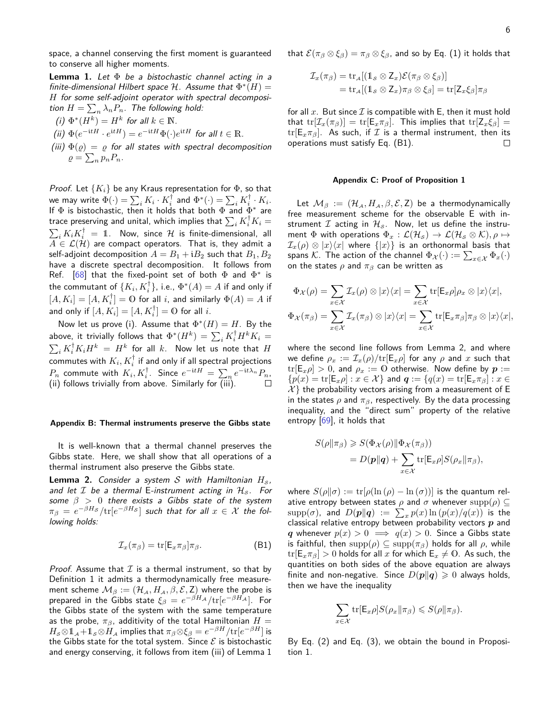space, a channel conserving the first moment is guaranteed to conserve all higher moments.

<span id="page-5-1"></span>**Lemma 1.** Let  $\Phi$  be a bistochastic channel acting in a finite-dimensional Hilbert space  $H$ . Assume that  $\Phi^*(H)$  = *H* for some self-adjoint operator with spectral decomposition  $H = \sum_n \lambda_n P_n$ . The following hold:

- (*i*)  $\Phi^*(H^k) = H^k$  for all  $k \in \mathbb{N}$ .
- (ii)  $\Phi(e^{-itH} \cdot e^{itH}) = e^{-itH}\Phi(\cdot)e^{itH}$  for all  $t \in \mathbb{R}$ .
- (iii)  $\Phi(\rho) = \rho$  for all states with spectral decomposition  $\rho = \sum_{n} p_n P_n$ .

*Proof.* Let  $\{K_i\}$  be any Kraus representation for  $\Phi$ , so that we may write  $\Phi(\cdot) = \sum_i K_i \cdot K_i^\dagger$  and  $\Phi^*(\cdot) = \sum_i K_i^\dagger \cdot K_i.$ If  $\Phi$  is bistochastic, then it holds that both  $\Phi$  and  $\Phi^*$  are trace preserving and unital, which implies that  $\sum_i K_i^\dagger K_i =$  $\sum_i K_i K_i^\dagger \ = \ 1$ . Now, since  ${\cal H}$  is finite-dimensional, all  $A \in \mathcal{L}(\mathcal{H})$  are compact operators. That is, they admit a self-adjoint decomposition  $A = B_1 + iB_2$  such that  $B_1, B_2$ have a discrete spectral decomposition. It follows from Ref. [\[68\]](#page-8-5) that the fixed-point set of both  $\Phi$  and  $\Phi^*$  is the commutant of  $\{K_i,K_i^\dagger\}$ , i.e.,  $\Phi^*(A) = A$  if and only if  $[A, K_i] = [A, K_i^{\dagger}] = 0$  for all *i*, and similarly  $\Phi(A) = A$  if and only if  $[A, K_i] = [A, K_i^{\dagger}] = 0$  for all *i*.

Now let us prove (i). Assume that  $\Phi^*(H) = H$ . By the above, it trivially follows that  $\Phi^*(H^k) = \sum_i K_i^\dagger H^k K_i =$  $\sum_i K_i^\dagger K_i H^k \ = \ H^k$  for all  $k$ . Now let us note that  $H$ commutes with  $K_i, K_i^\dagger$  if and only if all spectral projections  $P_n$  commute with  $K_i$ ,  $K_i^{\dagger}$ . Since  $e^{-\mathrm{i}tH} = \sum_n e^{-\mathrm{i}t\lambda_n} P_n$ , (ii) follows trivially from above. Similarly for  $\overline{\text{(iii)}}$ .

### **Appendix B: Thermal instruments preserve the Gibbs state**

It is well-known that a thermal channel preserves the Gibbs state. Here, we shall show that all operations of a thermal instrument also preserve the Gibbs state.

<span id="page-5-3"></span>**Lemma 2.** Consider a system S with Hamiltonian  $H_s$ , and let  $\mathcal I$  be a thermal E-instrument acting in  $\mathcal H_{\mathcal S}$ . For some *β >* 0 there exists a Gibbs state of the system  $\pi_{\beta} \, = \, e^{-\beta H_{\mathcal{S}}} / \text{tr}[e^{-\beta H_{\mathcal{S}}} ]$  such that for all  $x \, \in \, \mathcal{X}$  the following holds:

$$
\mathcal{I}_x(\pi_\beta) = \text{tr}[\mathsf{E}_x \pi_\beta] \pi_\beta. \tag{B1}
$$

*Proof.* Assume that  $I$  is a thermal instrument, so that by Definition [1](#page-1-2) it admits a thermodynamically free measure- $\mathsf{ment}$  scheme  $\mathcal{M}_\beta := (\mathcal{H}_\mathcal{A}, H_\mathcal{A}, \beta, \mathcal{E}, \mathsf{Z})$  where the probe is  $\mathsf{prepared}$  in the Gibbs state  $\xi_{\beta} \, = \, e^{-\beta H_{\mathcal{A}}} / \mathrm{tr}[e^{-\beta H_{\mathcal{A}}}].$  For the Gibbs state of the system with the same temperature as the probe,  $\pi_{\beta}$ , additivity of the total Hamiltonian  $H =$  $H_{\mathcal{S}}\otimes \mathbb{1}_{\mathcal{A}}+\mathbb{1}_{\mathcal{S}}\otimes H_{\mathcal{A}}$  implies that  $\pi_{\beta}\otimes \xi_{\beta}=e^{-\beta H}/\text{tr}[e^{-\beta H}]$  is the Gibbs state for the total system. Since  $\mathcal E$  is bistochastic and energy conserving, it follows from item (iii) of Lemma [1](#page-5-1)

that  $\mathcal{E}(\pi_\beta \otimes \xi_\beta) = \pi_\beta \otimes \xi_\beta$ , and so by Eq. [\(1\)](#page-1-1) it holds that

$$
\mathcal{I}_x(\pi_\beta) = \text{tr}_\mathcal{A}[(\mathbb{1}_\mathcal{S} \otimes \mathsf{Z}_x)\mathcal{E}(\pi_\beta \otimes \xi_\beta)] \n= \text{tr}_\mathcal{A}[(\mathbb{1}_\mathcal{S} \otimes \mathsf{Z}_x)\pi_\beta \otimes \xi_\beta] = \text{tr}[\mathsf{Z}_x \xi_\beta]\pi_\beta
$$

for all x. But since  $\mathcal I$  is compatible with E, then it must hold that  $tr[\mathcal{I}_x(\pi_\beta)] = tr[E_x \pi_\beta]$ . This implies that  $tr[\mathcal{Z}_x \xi_\beta] =$  $tr[E_x \pi_\beta]$ . As such, if  $\mathcal I$  is a thermal instrument, then its operations must satisfy Eq. [\(B1\)](#page-5-2). П

## <span id="page-5-0"></span>**Appendix C: Proof of Proposition [1](#page-2-2)**

Let  $M_\beta := (\mathcal{H}_\mathcal{A}, H_\mathcal{A}, \beta, \mathcal{E}, Z)$  be a thermodynamically free measurement scheme for the observable E with instrument  $I$  acting in  $H_s$ . Now, let us define the instrument  $\Phi$  with operations  $\Phi_x : \mathcal{L}(\mathcal{H}_s) \to \mathcal{L}(\mathcal{H}_s \otimes \mathcal{K}), \rho \mapsto \Phi$  $\mathcal{I}_x(\rho) \otimes |x\rangle\langle x|$  where  $\{|x\rangle\}$  is an orthonormal basis that spans  $\mathcal{K}.$  The action of the channel  $\Phi_\mathcal{X}(\cdot) := \sum_{x \in \mathcal{X}} \Phi_x(\cdot)$ on the states  $\rho$  and  $\pi_\beta$  can be written as

$$
\Phi_{\mathcal{X}}(\rho) = \sum_{x \in \mathcal{X}} \mathcal{I}_{x}(\rho) \otimes |x\rangle\langle x| = \sum_{x \in \mathcal{X}} \text{tr}[\mathsf{E}_{x}\rho]\rho_{x} \otimes |x\rangle\langle x|,
$$
  

$$
\Phi_{\mathcal{X}}(\pi_{\beta}) = \sum_{x \in \mathcal{X}} \mathcal{I}_{x}(\pi_{\beta}) \otimes |x\rangle\langle x| = \sum_{x \in \mathcal{X}} \text{tr}[\mathsf{E}_{x}\pi_{\beta}]\pi_{\beta} \otimes |x\rangle\langle x|,
$$

where the second line follows from Lemma [2,](#page-5-3) and where we define  $\rho_x := \mathcal{I}_x(\rho)/\text{tr}[\mathsf{E}_x \rho]$  for any  $\rho$  and  $x$  such that  $tr[E_x \rho] > 0$ , and  $\rho_x := 0$  otherwise. Now define by  $p :=$  ${p(x) = \text{tr}[\mathsf{E}_x \rho] : x \in \mathcal{X}}$  and  $\mathbf{q} := {q(x) = \text{tr}[\mathsf{E}_x \pi_\beta] : x \in \mathcal{X}}$  $\mathcal{X}$ } the probability vectors arising from a measurement of E in the states  $\rho$  and  $\pi_{\beta}$ , respectively. By the data processing inequality, and the "direct sum" property of the relative entropy  $[69]$ , it holds that

$$
S(\rho||\pi_{\beta}) \geq S(\Phi_{\mathcal{X}}(\rho)||\Phi_{\mathcal{X}}(\pi_{\beta}))
$$
  
=  $D(\mathbf{p}||\mathbf{q}) + \sum_{x \in \mathcal{X}} \text{tr}[\mathsf{E}_{x}\rho]S(\rho_{x}||\pi_{\beta}),$ 

<span id="page-5-2"></span>where  $S(\rho||\sigma) := \text{tr}[\rho(\ln(\rho) - \ln(\sigma))]$  is the quantum relative entropy between states  $\rho$  and  $\sigma$  whenever  $\text{supp}(\rho) \subseteq$  $\mathrm{supp}(\sigma)$ , and  $D(\bm{p}\|\bm{q})\ :=\ \sum_{x}p(x)\ln\left(p(x)/q(x)\right)$  is the classical relative entropy between probability vectors *p* and *q* whenever  $p(x) > 0 \implies q(x) > 0$ . Since a Gibbs state is faithful, then  $\text{supp}(\rho) \subseteq \text{supp}(\pi_{\beta})$  holds for all  $\rho$ , while  $tr[E_x \pi_\beta] > 0$  holds for all *x* for which  $E_x \neq 0$ . As such, the quantities on both sides of the above equation are always finite and non-negative. Since  $D(p||q) \geq 0$  always holds, then we have the inequality

$$
\sum_{x \in \mathcal{X}} \text{tr}[\mathsf{E}_x \rho] S(\rho_x \| \pi_\beta) \leqslant S(\rho \| \pi_\beta).
$$

By Eq. [\(2\)](#page-2-1) and Eq. [\(3\)](#page-2-0), we obtain the bound in Proposition [1.](#page-2-2)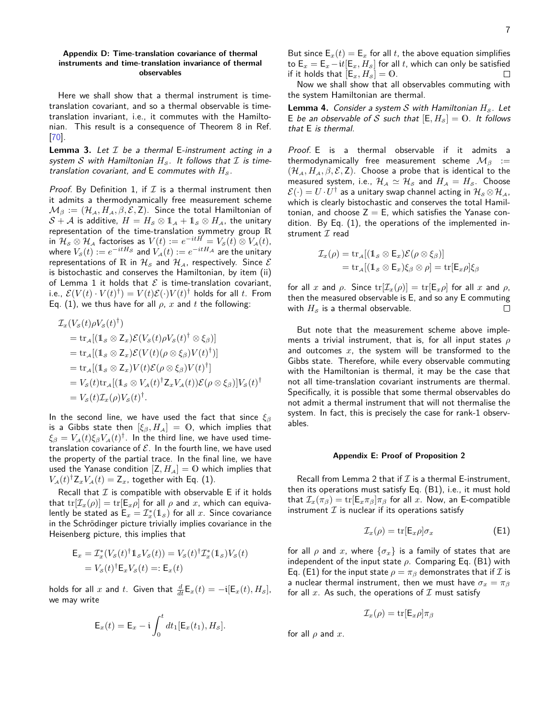## <span id="page-6-0"></span>**Appendix D: Time-translation covariance of thermal instruments and time-translation invariance of thermal observables**

Here we shall show that a thermal instrument is timetranslation covariant, and so a thermal observable is timetranslation invariant, i.e., it commutes with the Hamiltonian. This result is a consequence of Theorem 8 in Ref. [\[70\]](#page-8-7).

**Lemma 3.** Let  $I$  be a thermal E-instrument acting in a system S with Hamiltonian  $H_s$ . It follows that  $\mathcal I$  is timetranslation covariant, and  $E$  commutes with  $H_s$ .

*Proof.* By Definition [1,](#page-1-2) if  $I$  is a thermal instrument then it admits a thermodynamically free measurement scheme  $\mathcal{M}_{\beta} := (\mathcal{H}_{\mathcal{A}}, H_{\mathcal{A}}, \beta, \mathcal{E}, \mathsf{Z})$ . Since the total Hamiltonian of  $S + A$  is additive,  $H = H_{\mathcal{S}} \otimes \mathbb{1}_{A} + \mathbb{1}_{S} \otimes H_{A}$ , the unitary representation of the time-translation symmetry group  $\mathbb R$  $\text{in} \ \mathcal{H}_{\mathcal{S}}\otimes\mathcal{H}_{\mathcal{A}}$  factorises as  $V(t):=e^{-itH}=V_{\mathcal{S}}(t)\otimes V_{\mathcal{A}}(t),$  $\mathsf{where} \ V_{\mathcal{S}}(t) := e^{-i t H_{\mathcal{S}}}$  and  $V_{\mathcal{A}}(t) := e^{-i t H_{\mathcal{A}}}$  are the unitary representations of R in  $\mathcal{H}_{\mathcal{S}}$  and  $\mathcal{H}_{\mathcal{A}}$ , respectively. Since  $\mathcal E$ is bistochastic and conserves the Hamiltonian, by item (ii) of Lemma [1](#page-5-1) it holds that  $\mathcal E$  is time-translation covariant, i.e.,  $\mathcal{E}(V(t)\cdot V(t)^{\dagger})=V(t)\mathcal{E}(\cdot)V(t)^{\dagger}$  holds for all *t*. From Eq. [\(1\)](#page-1-1), we thus have for all  $\rho$ ,  $x$  and  $t$  the following:

$$
\mathcal{I}_x(V_s(t)\rho V_s(t)^{\dagger})
$$
\n
$$
= \text{tr}_{A}[(1_s \otimes Z_x)\mathcal{E}(V_s(t)\rho V_s(t)^{\dagger} \otimes \xi_{\beta})]
$$
\n
$$
= \text{tr}_{A}[(1_s \otimes Z_x)\mathcal{E}(V(t)(\rho \otimes \xi_{\beta})V(t)^{\dagger})]
$$
\n
$$
= \text{tr}_{A}[(1_s \otimes Z_x)V(t)\mathcal{E}(\rho \otimes \xi_{\beta})V(t)^{\dagger}]
$$
\n
$$
= V_s(t)\text{tr}_{A}[(1_s \otimes V_A(t)^{\dagger}Z_xV_A(t))\mathcal{E}(\rho \otimes \xi_{\beta})]V_s(t)^{\dagger}
$$
\n
$$
= V_s(t)\mathcal{I}_x(\rho)V_s(t)^{\dagger}.
$$

In the second line, we have used the fact that since *ξ<sup>β</sup>* is a Gibbs state then  $[\xi_{\beta}, H_{\mathcal{A}}] = 0$ , which implies that  $\xi_{\beta} = V_{\mathcal{A}}(t) \xi_{\beta} V_{\mathcal{A}}(t)^{\dagger}$ . In the third line, we have used timetranslation covariance of  $\mathcal E$ . In the fourth line, we have used the property of the partial trace. In the final line, we have used the Yanase condition  $[Z, H_A] = 0$  which implies that  $V_A(t)^{\dagger} Z_x V_A(t) = Z_x$ , together with Eq. [\(1\)](#page-1-1).

Recall that  $I$  is compatible with observable E if it holds that  $tr[\mathcal{I}_x(\rho)] = tr[E_x \rho]$  for all  $\rho$  and  $x$ , which can equivalently be stated as  $\mathsf{E}_x = \mathcal{I}_x^*(1\mathsf{1}_\mathcal{S})$  for all  $x$ . Since covariance in the Schrödinger picture trivially implies covariance in the Heisenberg picture, this implies that

$$
\mathsf{E}_x = \mathcal{I}_x^*(V_s(t)^\dagger \mathbb{1}_s V_s(t)) = V_s(t)^\dagger \mathcal{I}_x^*(\mathbb{1}_s) V_s(t)
$$
  
=  $V_s(t)^\dagger \mathsf{E}_x V_s(t) =: \mathsf{E}_x(t)$ 

holds for all *x* and *t*. Given that  $\frac{d}{dt}E_x(t) = -i[E_x(t), H_s]$ , we may write

$$
\mathsf{E}_x(t) = \mathsf{E}_x - \mathfrak{i} \int_0^t dt_1 [\mathsf{E}_x(t_1), H_s].
$$

Now we shall show that all observables commuting with the system Hamiltonian are thermal.

**Lemma 4.** Consider a system  $S$  with Hamiltonian  $H_S$ . Let E be an observable of S such that  $[E, H_s] = 0$ . It follows that E is thermal.

Proof. E is a thermal observable if it admits a thermodynamically free measurement scheme  $\mathcal{M}_\beta$  :=  $(\mathcal{H}_A, H_A, \beta, \mathcal{E}, Z)$ . Choose a probe that is identical to the measured system, i.e.,  $\mathcal{H}_A \simeq \mathcal{H}_S$  and  $H_A = H_S$ . Choose  $\mathcal{E}(\cdot)=U\cdot U^\dagger$  as a unitary swap channel acting in  $\mathcal{H}_{\scriptscriptstyle \mathcal{S}}\otimes\mathcal{H}_{\scriptscriptstyle \mathcal{A}}$  , which is clearly bistochastic and conserves the total Hamiltonian, and choose  $Z = E$ , which satisfies the Yanase condition. By Eq. [\(1\)](#page-1-1), the operations of the implemented instrument  $I$  read

$$
\mathcal{I}_x(\rho) = \text{tr}_{\mathcal{A}}[(1_{\mathcal{S}} \otimes \mathsf{E}_x)\mathcal{E}(\rho \otimes \xi_{\beta})]
$$
  
= 
$$
\text{tr}_{\mathcal{A}}[(1_{\mathcal{S}} \otimes \mathsf{E}_x)\xi_{\beta} \otimes \rho] = \text{tr}[\mathsf{E}_x \rho]\xi_{\beta}
$$

for all *x* and  $\rho$ . Since  $\text{tr}[\mathcal{I}_x(\rho)] = \text{tr}[\mathsf{E}_x \rho]$  for all *x* and  $\rho$ , then the measured observable is E, and so any E commuting with  $H<sub>S</sub>$  is a thermal observable.  $\Box$ 

But note that the measurement scheme above implements a trivial instrument, that is, for all input states *ρ* and outcomes *x*, the system will be transformed to the Gibbs state. Therefore, while every observable commuting with the Hamiltonian is thermal, it may be the case that not all time-translation covariant instruments are thermal. Specifically, it is possible that some thermal observables do not admit a thermal instrument that will not thermalise the system. In fact, this is precisely the case for rank-1 observables.

#### <span id="page-6-1"></span>**Appendix E: Proof of Proposition [2](#page-3-0)**

Recall from Lemma [2](#page-5-3) that if  $\mathcal I$  is a thermal E-instrument, then its operations must satisfy Eq. [\(B1\)](#page-5-2), i.e., it must hold that  $\mathcal{I}_x(\pi_\beta) = \text{tr}[\mathsf{E}_x \pi_\beta] \pi_\beta$  for all *x*. Now, an E-compatible instrument  $\mathcal I$  is nuclear if its operations satisfy

<span id="page-6-2"></span>
$$
\mathcal{I}_x(\rho) = \text{tr}[\mathsf{E}_x \rho] \sigma_x \tag{E1}
$$

for all  $\rho$  and  $x$ , where  $\{\sigma_x\}$  is a family of states that are independent of the input state *ρ*. Comparing Eq. [\(B1\)](#page-5-2) with Eq. [\(E1\)](#page-6-2) for the input state  $\rho = \pi_\beta$  demonstrates that if  $\mathcal I$  is a nuclear thermal instrument, then we must have  $\sigma_x = \pi_\beta$ for all  $x$ . As such, the operations of  $\mathcal I$  must satisfy

$$
\mathcal{I}_x(\rho) = \text{tr}[\mathsf{E}_x \rho] \pi_\beta
$$

for all  $\rho$  and  $x$ .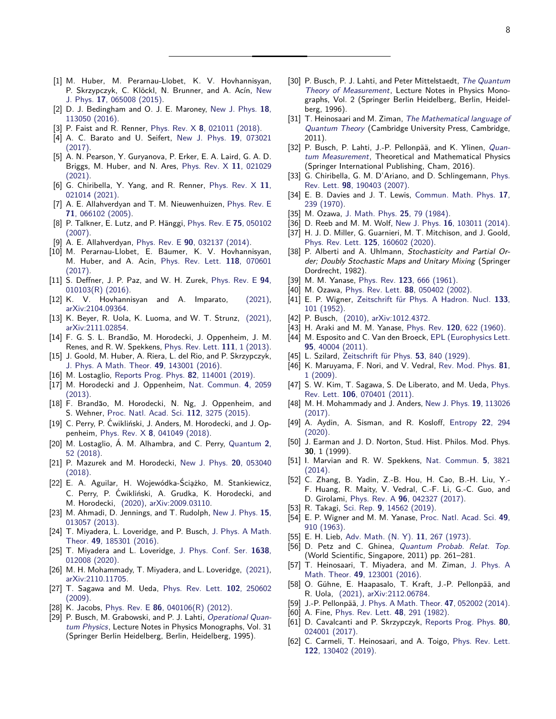- <span id="page-7-0"></span>[1] M. Huber, M. Perarnau-Llobet, K. V. Hovhannisyan, P. Skrzypczyk, C. Klöckl, N. Brunner, and A. Acín, [New](https://doi.org/10.1088/1367-2630/17/6/065008) J. Phys. **17**[, 065008 \(2015\).](https://doi.org/10.1088/1367-2630/17/6/065008)
- [2] D. J. Bedingham and O. J. E. Maroney, [New J. Phys.](https://doi.org/10.1088/1367-2630/18/11/113050) **18**, [113050 \(2016\).](https://doi.org/10.1088/1367-2630/18/11/113050)
- [3] P. Faist and R. Renner, Phys. Rev. X **8**[, 021011 \(2018\).](https://doi.org/10.1103/PhysRevX.8.021011)
- [4] A. C. Barato and U. Seifert, [New J. Phys.](https://doi.org/10.1088/1367-2630/aa77d0) **19**, 073021 [\(2017\).](https://doi.org/10.1088/1367-2630/aa77d0)
- [5] A. N. Pearson, Y. Guryanova, P. Erker, E. A. Laird, G. A. D. Briggs, M. Huber, and N. Ares, [Phys. Rev. X](https://doi.org/10.1103/PhysRevX.11.021029) **11**, 021029 [\(2021\).](https://doi.org/10.1103/PhysRevX.11.021029)
- <span id="page-7-1"></span>[6] G. Chiribella, Y. Yang, and R. Renner, [Phys. Rev. X](https://doi.org/10.1103/PhysRevX.11.021014) **11**, [021014 \(2021\).](https://doi.org/10.1103/PhysRevX.11.021014)
- <span id="page-7-2"></span>[7] A. E. Allahverdyan and T. M. Nieuwenhuizen, [Phys. Rev. E](https://doi.org/10.1103/PhysRevE.71.066102) **71**[, 066102 \(2005\).](https://doi.org/10.1103/PhysRevE.71.066102)
- [8] P. Talkner, E. Lutz, and P. H¨anggi, [Phys. Rev. E](https://doi.org/10.1103/PhysRevE.75.050102) **75**, 050102 [\(2007\).](https://doi.org/10.1103/PhysRevE.75.050102)
- [9] A. E. Allahverdyan, Phys. Rev. E **90**[, 032137 \(2014\).](https://doi.org/10.1103/PhysRevE.90.032137)
- [10] M. Perarnau-Llobet, E. Bäumer, K. V. Hovhannisyan, M. Huber, and A. Acin, [Phys. Rev. Lett.](https://doi.org/10.1103/PhysRevLett.118.070601) **118**, 070601 [\(2017\).](https://doi.org/10.1103/PhysRevLett.118.070601)
- [11] S. Deffner, J. P. Paz, and W. H. Zurek, [Phys. Rev. E](https://doi.org/10.1103/PhysRevE.94.010103) **94**, [010103\(R\) \(2016\).](https://doi.org/10.1103/PhysRevE.94.010103)
- [12] K. V. Hovhannisyan and A. Imparato, [\(2021\),](http://arxiv.org/abs/2104.09364) [arXiv:2104.09364.](https://arxiv.org/abs/2104.09364)
- <span id="page-7-3"></span>[13] K. Beyer, R. Uola, K. Luoma, and W. T. Strunz, [\(2021\),](http://arxiv.org/abs/2111.02854) [arXiv:2111.02854.](https://arxiv.org/abs/2111.02854)
- <span id="page-7-4"></span>[14] F. G. S. L. Brandão, M. Horodecki, J. Oppenheim, J. M. Renes, and R. W. Spekkens, [Phys. Rev. Lett.](https://doi.org/10.1103/PhysRevLett.111.250404) **111**, 1 (2013).
- [15] J. Goold, M. Huber, A. Riera, L. del Rio, and P. Skrzypczyk, [J. Phys. A Math. Theor.](https://doi.org/10.1088/1751-8113/49/14/143001) **49**, 143001 (2016).
- <span id="page-7-5"></span>[16] M. Lostaglio, [Reports Prog. Phys.](https://doi.org/10.1088/1361-6633/ab46e5) **82**, 114001 (2019).
- <span id="page-7-6"></span>[17] M. Horodecki and J. Oppenheim, [Nat. Commun.](https://doi.org/10.1038/ncomms3059) **4**, 2059 [\(2013\).](https://doi.org/10.1038/ncomms3059)
- [18] F. Brandão, M. Horodecki, N. Ng, J. Oppenheim, and S. Wehner, [Proc. Natl. Acad. Sci.](https://doi.org/10.1073/pnas.1411728112) **112**, 3275 (2015).
- [19] C. Perry, P. Ćwikliński, J. Anders, M. Horodecki, and J. Oppenheim, Phys. Rev. X **8**[, 041049 \(2018\).](https://doi.org/10.1103/PhysRevX.8.041049)
- [20] M. Lostaglio, Á. M. Alhambra, and C. Perry, [Quantum](https://doi.org/10.22331/q-2018-02-08-52) 2, [52 \(2018\).](https://doi.org/10.22331/q-2018-02-08-52)
- [21] P. Mazurek and M. Horodecki, [New J. Phys.](https://doi.org/10.1088/1367-2630/aac057) **20**, 053040 [\(2018\).](https://doi.org/10.1088/1367-2630/aac057)
- <span id="page-7-7"></span>[22] E. A. Aguilar, H. Wojewódka-Ściążko, M. Stankiewicz, C. Perry, P. Ćwikliński, A. Grudka, K. Horodecki, and M. Horodecki, [\(2020\),](http://arxiv.org/abs/2009.03110) [arXiv:2009.03110.](https://arxiv.org/abs/2009.03110)
- <span id="page-7-8"></span>[23] M. Ahmadi, D. Jennings, and T. Rudolph, [New J. Phys.](https://doi.org/10.1088/1367-2630/15/1/013057) **15**, [013057 \(2013\).](https://doi.org/10.1088/1367-2630/15/1/013057)
- [24] T. Miyadera, L. Loveridge, and P. Busch, [J. Phys. A Math.](https://doi.org/10.1088/1751-8113/49/18/185301) Theor. **49**[, 185301 \(2016\).](https://doi.org/10.1088/1751-8113/49/18/185301)
- [25] T. Miyadera and L. Loveridge, [J. Phys. Conf. Ser.](https://doi.org/10.1088/1742-6596/1638/1/012008) **1638**, [012008 \(2020\).](https://doi.org/10.1088/1742-6596/1638/1/012008)
- <span id="page-7-9"></span>[26] M. H. Mohammady, T. Miyadera, and L. Loveridge, [\(2021\),](http://arxiv.org/abs/2110.11705) [arXiv:2110.11705.](https://arxiv.org/abs/2110.11705)
- <span id="page-7-10"></span>[27] T. Sagawa and M. Ueda, [Phys. Rev. Lett.](https://doi.org/10.1103/PhysRevLett.102.250602) **102**, 250602 [\(2009\).](https://doi.org/10.1103/PhysRevLett.102.250602)
- <span id="page-7-11"></span>[28] K. Jacobs, Phys. Rev. E **86**[, 040106\(R\) \(2012\).](https://doi.org/10.1103/PhysRevE.86.040106)
- <span id="page-7-12"></span>[29] P. Busch, M. Grabowski, and P. J. Lahti, [Operational Quan](https://doi.org/10.1007/978-3-540-49239-9)[tum Physics](https://doi.org/10.1007/978-3-540-49239-9), Lecture Notes in Physics Monographs, Vol. 31 (Springer Berlin Heidelberg, Berlin, Heidelberg, 1995).
- [30] P. Busch, P. J. Lahti, and Peter Mittelstaedt, [The Quantum](https://doi.org/10.1007/978-3-540-37205-9) [Theory of Measurement](https://doi.org/10.1007/978-3-540-37205-9), Lecture Notes in Physics Monographs, Vol. 2 (Springer Berlin Heidelberg, Berlin, Heidelberg, 1996).
- [31] T. Heinosaari and M. Ziman, [The Mathematical language of](https://doi.org/10.1017/CBO9781139031103) [Quantum Theory](https://doi.org/10.1017/CBO9781139031103) (Cambridge University Press, Cambridge, 2011).
- <span id="page-7-13"></span>[32] P. Busch, P. Lahti, J.-P. Pellonpää, and K. Ylinen, [Quan](https://doi.org/10.1007/978-3-319-43389-9)[tum Measurement](https://doi.org/10.1007/978-3-319-43389-9), Theoretical and Mathematical Physics (Springer International Publishing, Cham, 2016).
- <span id="page-7-14"></span>[33] G. Chiribella, G. M. D'Ariano, and D. Schlingemann, [Phys.](https://doi.org/10.1103/PhysRevLett.98.190403) Rev. Lett. **98**[, 190403 \(2007\).](https://doi.org/10.1103/PhysRevLett.98.190403)
- <span id="page-7-15"></span>[34] E. B. Davies and J. T. Lewis, [Commun. Math. Phys.](https://doi.org/10.1007/BF01647093) **17**, [239 \(1970\).](https://doi.org/10.1007/BF01647093)
- <span id="page-7-16"></span>[35] M. Ozawa, [J. Math. Phys.](https://doi.org/10.1063/1.526000) **25**, 79 (1984).
- <span id="page-7-17"></span>[36] D. Reeb and M. M. Wolf, New J. Phys. **16**[, 103011 \(2014\).](https://doi.org/10.1088/1367-2630/16/10/103011)
- <span id="page-7-18"></span>[37] H. J. D. Miller, G. Guarnieri, M. T. Mitchison, and J. Goold, Phys. Rev. Lett. **125**[, 160602 \(2020\).](https://doi.org/10.1103/PhysRevLett.125.160602)
- <span id="page-7-19"></span>[38] P. Alberti and A. Uhlmann, Stochasticity and Partial Order; Doubly Stochastic Maps and Unitary Mixing (Springer Dordrecht, 1982).
- <span id="page-7-20"></span>[39] M. M. Yanase, Phys. Rev. **123**[, 666 \(1961\).](https://doi.org/10.1103/PhysRev.123.666)
- <span id="page-7-21"></span>[40] M. Ozawa, Phys. Rev. Lett. **88**[, 050402 \(2002\).](https://doi.org/10.1103/PhysRevLett.88.050402)
- <span id="page-7-22"></span>[41] E. P. Wigner, Zeitschrift für Phys. A Hadron. Nucl. 133, [101 \(1952\).](https://doi.org/10.1007/BF01948686)
- [42] P. Busch, [\(2010\),](http://arxiv.org/abs/1012.4372) [arXiv:1012.4372.](https://arxiv.org/abs/1012.4372)
- <span id="page-7-23"></span>[43] H. Araki and M. M. Yanase, Phys. Rev. **120**[, 622 \(1960\).](https://doi.org/10.1103/PhysRev.120.622)
- <span id="page-7-24"></span>[44] M. Esposito and C. Van den Broeck, [EPL \(Europhysics Lett.](https://doi.org/10.1209/0295-5075/95/40004) **95**[, 40004 \(2011\).](https://doi.org/10.1209/0295-5075/95/40004)
- <span id="page-7-25"></span>[45] L. Szilard, Zeitschrift für Phys. **53**, 840 (1929).
- [46] K. Maruyama, F. Nori, and V. Vedral, [Rev. Mod. Phys.](https://doi.org/10.1103/RevModPhys.81.1) **81**, [1 \(2009\).](https://doi.org/10.1103/RevModPhys.81.1)
- [47] S. W. Kim, T. Sagawa, S. De Liberato, and M. Ueda, [Phys.](https://doi.org/10.1103/PhysRevLett.106.070401) Rev. Lett. **106**[, 070401 \(2011\).](https://doi.org/10.1103/PhysRevLett.106.070401)
- [48] M. H. Mohammady and J. Anders, [New J. Phys.](https://doi.org/10.1088/1367-2630/aa8ba1) **19**, 113026  $(2017)$ .
- <span id="page-7-26"></span>[49] A. Aydin, A. Sisman, and R. Kosloff, [Entropy](https://doi.org/10.3390/e22030294) **22**, 294 [\(2020\).](https://doi.org/10.3390/e22030294)
- <span id="page-7-27"></span>[50] J. Earman and J. D. Norton, Stud. Hist. Philos. Mod. Phys. **30**, 1 (1999).
- <span id="page-7-28"></span>[51] I. Marvian and R. W. Spekkens, [Nat. Commun.](https://doi.org/10.1038/ncomms4821) **5**, 3821 [\(2014\).](https://doi.org/10.1038/ncomms4821)
- <span id="page-7-29"></span>[52] C. Zhang, B. Yadin, Z.-B. Hou, H. Cao, B.-H. Liu, Y.- F. Huang, R. Maity, V. Vedral, C.-F. Li, G.-C. Guo, and D. Girolami, Phys. Rev. A **96**[, 042327 \(2017\).](https://doi.org/10.1103/PhysRevA.96.042327)
- <span id="page-7-30"></span>[53] R. Takagi, Sci. Rep. **9**[, 14562 \(2019\).](https://doi.org/10.1038/s41598-019-50279-w)
- <span id="page-7-31"></span>[54] E. P. Wigner and M. M. Yanase, [Proc. Natl. Acad. Sci.](https://doi.org/10.1073/pnas.49.6.910) **49**, [910 \(1963\).](https://doi.org/10.1073/pnas.49.6.910)
- <span id="page-7-32"></span>[55] E. H. Lieb, [Adv. Math. \(N. Y\).](https://doi.org/10.1016/0001-8708(73)90011-X) **11**, 267 (1973).
- <span id="page-7-33"></span>[56] D. Petz and C. Ghinea, [Quantum Probab. Relat. Top.](https://doi.org/10.1142/9789814338745_0015) (World Scientific, Singapore, 2011) pp. 261–281.
- <span id="page-7-34"></span>[57] T. Heinosaari, T. Miyadera, and M. Ziman, [J. Phys. A](https://doi.org/10.1088/1751-8113/49/12/123001) Math. Theor. **49**[, 123001 \(2016\).](https://doi.org/10.1088/1751-8113/49/12/123001)
- <span id="page-7-35"></span>[58] O. Gühne, E. Haapasalo, T. Kraft, J.-P. Pellonpää, and R. Uola, [\(2021\),](http://arxiv.org/abs/2112.06784) [arXiv:2112.06784.](https://arxiv.org/abs/2112.06784)
- <span id="page-7-36"></span>[59] J.-P. Pellonpää, [J. Phys. A Math. Theor.](https://doi.org/10.1088/1751-8113/47/5/052002) **47**, 052002 (2014).
- <span id="page-7-37"></span>[60] A. Fine, [Phys. Rev. Lett.](https://doi.org/10.1103/PhysRevLett.48.291) **48**, 291 (1982).
- <span id="page-7-38"></span>[61] D. Cavalcanti and P. Skrzypczyk, [Reports Prog. Phys.](https://doi.org/10.1088/1361-6633/80/2/024001) **80**, [024001 \(2017\).](https://doi.org/10.1088/1361-6633/80/2/024001)
- <span id="page-7-39"></span>[62] C. Carmeli, T. Heinosaari, and A. Toigo, [Phys. Rev. Lett.](https://doi.org/10.1103/PhysRevLett.122.130402) **122**[, 130402 \(2019\).](https://doi.org/10.1103/PhysRevLett.122.130402)